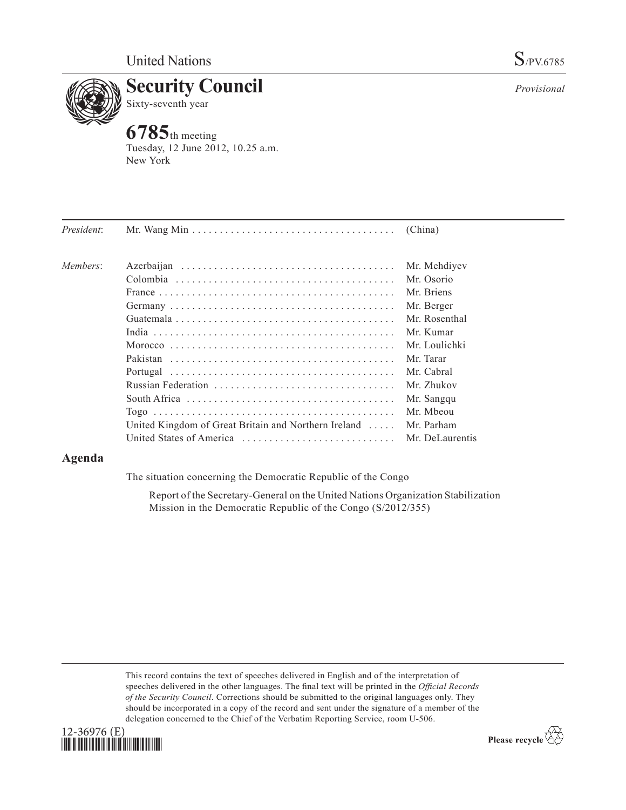

**6785**th meeting Tuesday, 12 June 2012, 10.25 a.m. New York

| President: |                                                                                      | (China)         |
|------------|--------------------------------------------------------------------------------------|-----------------|
| Members:   |                                                                                      | Mr. Mehdiyev    |
|            |                                                                                      | Mr. Osorio      |
|            |                                                                                      | Mr. Briens      |
|            |                                                                                      | Mr. Berger      |
|            |                                                                                      | Mr. Rosenthal   |
|            |                                                                                      | Mr. Kumar       |
|            |                                                                                      | Mr. Loulichki   |
|            |                                                                                      | Mr. Tarar       |
|            |                                                                                      | Mr. Cabral      |
|            |                                                                                      | Mr. Zhukov      |
|            | South Africa $\ldots \ldots \ldots \ldots \ldots \ldots \ldots \ldots \ldots \ldots$ | Mr. Sangqu      |
|            |                                                                                      | Mr. Mbeou       |
|            | United Kingdom of Great Britain and Northern Ireland $\dots$                         | Mr. Parham      |
|            |                                                                                      | Mr. DeLaurentis |
|            |                                                                                      |                 |

# **Agenda**

The situation concerning the Democratic Republic of the Congo

Report of the Secretary-General on the United Nations Organization Stabilization Mission in the Democratic Republic of the Congo (S/2012/355)

This record contains the text of speeches delivered in English and of the interpretation of speeches delivered in the other languages. The final text will be printed in the *Official Records of the Security Council*. Corrections should be submitted to the original languages only. They should be incorporated in a copy of the record and sent under the signature of a member of the delegation concerned to the Chief of the Verbatim Reporting Service, room U-506.



Please recycle  $\overleftrightarrow{C}$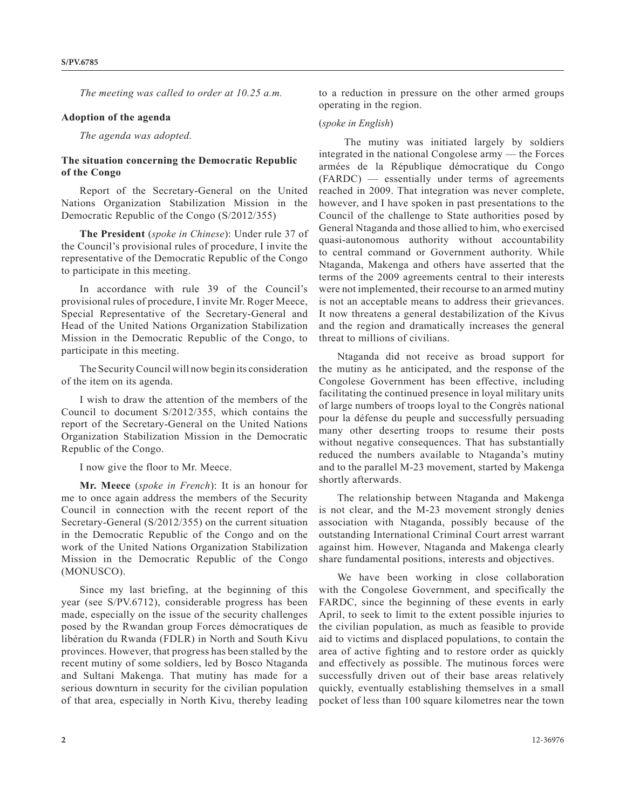*The meeting was called to order at 10.25 a.m.*

#### **Adoption of the agenda**

*The agenda was adopted.*

## **The situation concerning the Democratic Republic of the Congo**

Report of the Secretary-General on the United Nations Organization Stabilization Mission in the Democratic Republic of the Congo (S/2012/355)

**The President** (*spoke in Chinese*): Under rule 37 of the Council's provisional rules of procedure, I invite the representative of the Democratic Republic of the Congo to participate in this meeting.

In accordance with rule 39 of the Council's provisional rules of procedure, I invite Mr. Roger Meece, Special Representative of the Secretary-General and Head of the United Nations Organization Stabilization Mission in the Democratic Republic of the Congo, to participate in this meeting.

The Security Council will now begin its consideration of the item on its agenda.

I wish to draw the attention of the members of the Council to document S/2012/355, which contains the report of the Secretary-General on the United Nations Organization Stabilization Mission in the Democratic Republic of the Congo.

I now give the floor to Mr. Meece.

**Mr. Meece** (*spoke in French*): It is an honour for me to once again address the members of the Security Council in connection with the recent report of the Secretary-General (S/2012/355) on the current situation in the Democratic Republic of the Congo and on the work of the United Nations Organization Stabilization Mission in the Democratic Republic of the Congo (MONUSCO).

Since my last briefing, at the beginning of this year (see S/PV.6712), considerable progress has been made, especially on the issue of the security challenges posed by the Rwandan group Forces démocratiques de libération du Rwanda (FDLR) in North and South Kivu provinces. However, that progress has been stalled by the recent mutiny of some soldiers, led by Bosco Ntaganda and Sultani Makenga. That mutiny has made for a serious downturn in security for the civilian population of that area, especially in North Kivu, thereby leading to a reduction in pressure on the other armed groups operating in the region.

#### (*spoke in English*)

 The mutiny was initiated largely by soldiers integrated in the national Congolese army — the Forces armées de la République démocratique du Congo (FARDC) — essentially under terms of agreements reached in 2009. That integration was never complete, however, and I have spoken in past presentations to the Council of the challenge to State authorities posed by General Ntaganda and those allied to him, who exercised quasi-autonomous authority without accountability to central command or Government authority. While Ntaganda, Makenga and others have asserted that the terms of the 2009 agreements central to their interests were not implemented, their recourse to an armed mutiny is not an acceptable means to address their grievances. It now threatens a general destabilization of the Kivus and the region and dramatically increases the general threat to millions of civilians.

Ntaganda did not receive as broad support for the mutiny as he anticipated, and the response of the Congolese Government has been effective, including facilitating the continued presence in loyal military units of large numbers of troops loyal to the Congrès national pour la défense du peuple and successfully persuading many other deserting troops to resume their posts without negative consequences. That has substantially reduced the numbers available to Ntaganda's mutiny and to the parallel M-23 movement, started by Makenga shortly afterwards.

The relationship between Ntaganda and Makenga is not clear, and the M-23 movement strongly denies association with Ntaganda, possibly because of the outstanding International Criminal Court arrest warrant against him. However, Ntaganda and Makenga clearly share fundamental positions, interests and objectives.

We have been working in close collaboration with the Congolese Government, and specifically the FARDC, since the beginning of these events in early April, to seek to limit to the extent possible injuries to the civilian population, as much as feasible to provide aid to victims and displaced populations, to contain the area of active fighting and to restore order as quickly and effectively as possible. The mutinous forces were successfully driven out of their base areas relatively quickly, eventually establishing themselves in a small pocket of less than 100 square kilometres near the town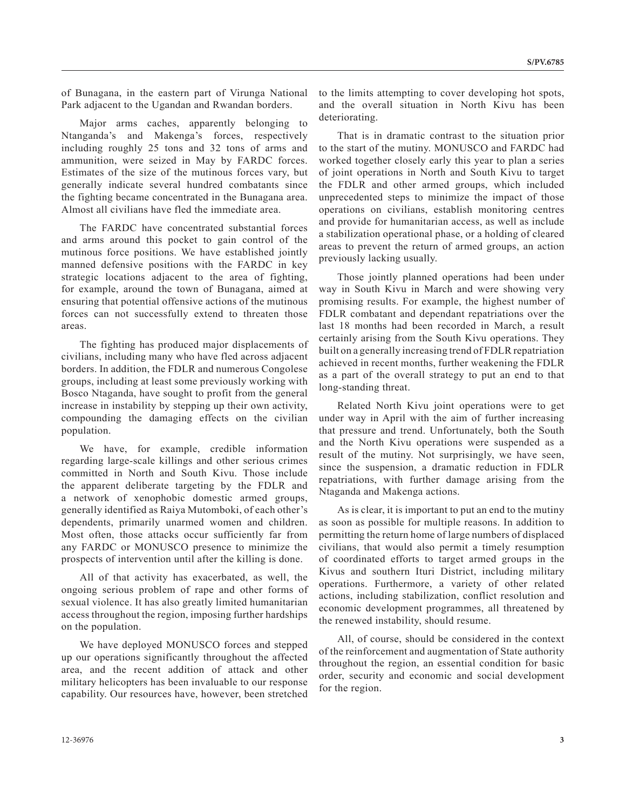of Bunagana, in the eastern part of Virunga National Park adjacent to the Ugandan and Rwandan borders.

Major arms caches, apparently belonging to Ntanganda's and Makenga's forces, respectively including roughly 25 tons and 32 tons of arms and ammunition, were seized in May by FARDC forces. Estimates of the size of the mutinous forces vary, but generally indicate several hundred combatants since the fighting became concentrated in the Bunagana area. Almost all civilians have fled the immediate area.

The FARDC have concentrated substantial forces and arms around this pocket to gain control of the mutinous force positions. We have established jointly manned defensive positions with the FARDC in key strategic locations adjacent to the area of fighting, for example, around the town of Bunagana, aimed at ensuring that potential offensive actions of the mutinous forces can not successfully extend to threaten those areas.

The fighting has produced major displacements of civilians, including many who have fled across adjacent borders. In addition, the FDLR and numerous Congolese groups, including at least some previously working with Bosco Ntaganda, have sought to profit from the general increase in instability by stepping up their own activity, compounding the damaging effects on the civilian population.

We have, for example, credible information regarding large-scale killings and other serious crimes committed in North and South Kivu. Those include the apparent deliberate targeting by the FDLR and a network of xenophobic domestic armed groups, generally identified as Raiya Mutomboki, of each other's dependents, primarily unarmed women and children. Most often, those attacks occur sufficiently far from any FARDC or MONUSCO presence to minimize the prospects of intervention until after the killing is done.

All of that activity has exacerbated, as well, the ongoing serious problem of rape and other forms of sexual violence. It has also greatly limited humanitarian access throughout the region, imposing further hardships on the population.

We have deployed MONUSCO forces and stepped up our operations significantly throughout the affected area, and the recent addition of attack and other military helicopters has been invaluable to our response capability. Our resources have, however, been stretched

to the limits attempting to cover developing hot spots, and the overall situation in North Kivu has been deteriorating.

That is in dramatic contrast to the situation prior to the start of the mutiny. MONUSCO and FARDC had worked together closely early this year to plan a series of joint operations in North and South Kivu to target the FDLR and other armed groups, which included unprecedented steps to minimize the impact of those operations on civilians, establish monitoring centres and provide for humanitarian access, as well as include a stabilization operational phase, or a holding of cleared areas to prevent the return of armed groups, an action previously lacking usually.

Those jointly planned operations had been under way in South Kivu in March and were showing very promising results. For example, the highest number of FDLR combatant and dependant repatriations over the last 18 months had been recorded in March, a result certainly arising from the South Kivu operations. They built on a generally increasing trend of FDLR repatriation achieved in recent months, further weakening the FDLR as a part of the overall strategy to put an end to that long-standing threat.

Related North Kivu joint operations were to get under way in April with the aim of further increasing that pressure and trend. Unfortunately, both the South and the North Kivu operations were suspended as a result of the mutiny. Not surprisingly, we have seen, since the suspension, a dramatic reduction in FDLR repatriations, with further damage arising from the Ntaganda and Makenga actions.

As is clear, it is important to put an end to the mutiny as soon as possible for multiple reasons. In addition to permitting the return home of large numbers of displaced civilians, that would also permit a timely resumption of coordinated efforts to target armed groups in the Kivus and southern Ituri District, including military operations. Furthermore, a variety of other related actions, including stabilization, conflict resolution and economic development programmes, all threatened by the renewed instability, should resume.

All, of course, should be considered in the context of the reinforcement and augmentation of State authority throughout the region, an essential condition for basic order, security and economic and social development for the region.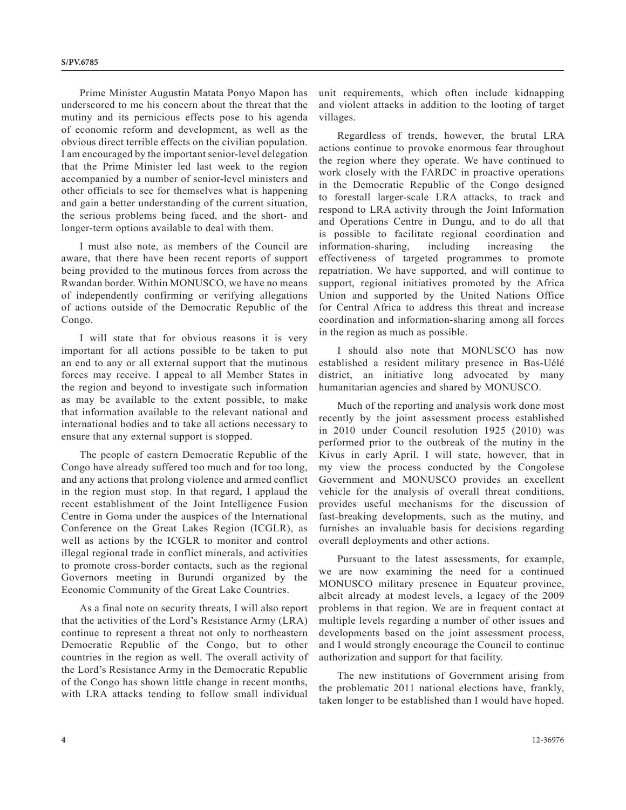Prime Minister Augustin Matata Ponyo Mapon has underscored to me his concern about the threat that the mutiny and its pernicious effects pose to his agenda of economic reform and development, as well as the obvious direct terrible effects on the civilian population. I am encouraged by the important senior-level delegation that the Prime Minister led last week to the region accompanied by a number of senior-level ministers and other officials to see for themselves what is happening and gain a better understanding of the current situation, the serious problems being faced, and the short- and longer-term options available to deal with them.

I must also note, as members of the Council are aware, that there have been recent reports of support being provided to the mutinous forces from across the Rwandan border. Within MONUSCO, we have no means of independently confirming or verifying allegations of actions outside of the Democratic Republic of the Congo.

I will state that for obvious reasons it is very important for all actions possible to be taken to put an end to any or all external support that the mutinous forces may receive. I appeal to all Member States in the region and beyond to investigate such information as may be available to the extent possible, to make that information available to the relevant national and international bodies and to take all actions necessary to ensure that any external support is stopped.

The people of eastern Democratic Republic of the Congo have already suffered too much and for too long, and any actions that prolong violence and armed conflict in the region must stop. In that regard, I applaud the recent establishment of the Joint Intelligence Fusion Centre in Goma under the auspices of the International Conference on the Great Lakes Region (ICGLR), as well as actions by the ICGLR to monitor and control illegal regional trade in conflict minerals, and activities to promote cross-border contacts, such as the regional Governors meeting in Burundi organized by the Economic Community of the Great Lake Countries.

As a final note on security threats, I will also report that the activities of the Lord's Resistance Army (LRA) continue to represent a threat not only to northeastern Democratic Republic of the Congo, but to other countries in the region as well. The overall activity of the Lord's Resistance Army in the Democratic Republic of the Congo has shown little change in recent months, with LRA attacks tending to follow small individual unit requirements, which often include kidnapping and violent attacks in addition to the looting of target villages.

Regardless of trends, however, the brutal LRA actions continue to provoke enormous fear throughout the region where they operate. We have continued to work closely with the FARDC in proactive operations in the Democratic Republic of the Congo designed to forestall larger-scale LRA attacks, to track and respond to LRA activity through the Joint Information and Operations Centre in Dungu, and to do all that is possible to facilitate regional coordination and information-sharing, including increasing the effectiveness of targeted programmes to promote repatriation. We have supported, and will continue to support, regional initiatives promoted by the Africa Union and supported by the United Nations Office for Central Africa to address this threat and increase coordination and information-sharing among all forces in the region as much as possible.

I should also note that MONUSCO has now established a resident military presence in Bas-Uélé district, an initiative long advocated by many humanitarian agencies and shared by MONUSCO.

Much of the reporting and analysis work done most recently by the joint assessment process established in 2010 under Council resolution 1925 (2010) was performed prior to the outbreak of the mutiny in the Kivus in early April. I will state, however, that in my view the process conducted by the Congolese Government and MONUSCO provides an excellent vehicle for the analysis of overall threat conditions, provides useful mechanisms for the discussion of fast-breaking developments, such as the mutiny, and furnishes an invaluable basis for decisions regarding overall deployments and other actions.

Pursuant to the latest assessments, for example, we are now examining the need for a continued MONUSCO military presence in Equateur province, albeit already at modest levels, a legacy of the 2009 problems in that region. We are in frequent contact at multiple levels regarding a number of other issues and developments based on the joint assessment process, and I would strongly encourage the Council to continue authorization and support for that facility.

The new institutions of Government arising from the problematic 2011 national elections have, frankly, taken longer to be established than I would have hoped.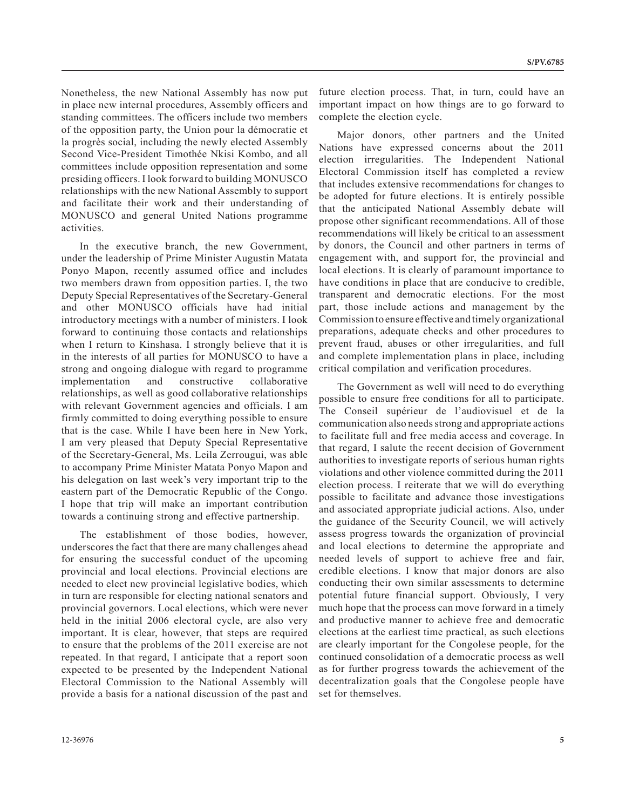Nonetheless, the new National Assembly has now put in place new internal procedures, Assembly officers and standing committees. The officers include two members of the opposition party, the Union pour la démocratie et la progrès social, including the newly elected Assembly Second Vice-President Timothée Nkisi Kombo, and all committees include opposition representation and some presiding officers. I look forward to building MONUSCO relationships with the new National Assembly to support and facilitate their work and their understanding of MONUSCO and general United Nations programme activities.

In the executive branch, the new Government, under the leadership of Prime Minister Augustin Matata Ponyo Mapon, recently assumed office and includes two members drawn from opposition parties. I, the two Deputy Special Representatives of the Secretary-General and other MONUSCO officials have had initial introductory meetings with a number of ministers. I look forward to continuing those contacts and relationships when I return to Kinshasa. I strongly believe that it is in the interests of all parties for MONUSCO to have a strong and ongoing dialogue with regard to programme implementation and constructive collaborative relationships, as well as good collaborative relationships with relevant Government agencies and officials. I am firmly committed to doing everything possible to ensure that is the case. While I have been here in New York, I am very pleased that Deputy Special Representative of the Secretary-General, Ms. Leila Zerrougui, was able to accompany Prime Minister Matata Ponyo Mapon and his delegation on last week's very important trip to the eastern part of the Democratic Republic of the Congo. I hope that trip will make an important contribution towards a continuing strong and effective partnership.

The establishment of those bodies, however, underscores the fact that there are many challenges ahead for ensuring the successful conduct of the upcoming provincial and local elections. Provincial elections are needed to elect new provincial legislative bodies, which in turn are responsible for electing national senators and provincial governors. Local elections, which were never held in the initial 2006 electoral cycle, are also very important. It is clear, however, that steps are required to ensure that the problems of the 2011 exercise are not repeated. In that regard, I anticipate that a report soon expected to be presented by the Independent National Electoral Commission to the National Assembly will provide a basis for a national discussion of the past and

future election process. That, in turn, could have an important impact on how things are to go forward to complete the election cycle.

Major donors, other partners and the United Nations have expressed concerns about the 2011 election irregularities. The Independent National Electoral Commission itself has completed a review that includes extensive recommendations for changes to be adopted for future elections. It is entirely possible that the anticipated National Assembly debate will propose other significant recommendations. All of those recommendations will likely be critical to an assessment by donors, the Council and other partners in terms of engagement with, and support for, the provincial and local elections. It is clearly of paramount importance to have conditions in place that are conducive to credible, transparent and democratic elections. For the most part, those include actions and management by the Commission to ensure effective and timely organizational preparations, adequate checks and other procedures to prevent fraud, abuses or other irregularities, and full and complete implementation plans in place, including critical compilation and verification procedures.

The Government as well will need to do everything possible to ensure free conditions for all to participate. The Conseil supérieur de l'audiovisuel et de la communication also needs strong and appropriate actions to facilitate full and free media access and coverage. In that regard, I salute the recent decision of Government authorities to investigate reports of serious human rights violations and other violence committed during the 2011 election process. I reiterate that we will do everything possible to facilitate and advance those investigations and associated appropriate judicial actions. Also, under the guidance of the Security Council, we will actively assess progress towards the organization of provincial and local elections to determine the appropriate and needed levels of support to achieve free and fair, credible elections. I know that major donors are also conducting their own similar assessments to determine potential future financial support. Obviously, I very much hope that the process can move forward in a timely and productive manner to achieve free and democratic elections at the earliest time practical, as such elections are clearly important for the Congolese people, for the continued consolidation of a democratic process as well as for further progress towards the achievement of the decentralization goals that the Congolese people have set for themselves.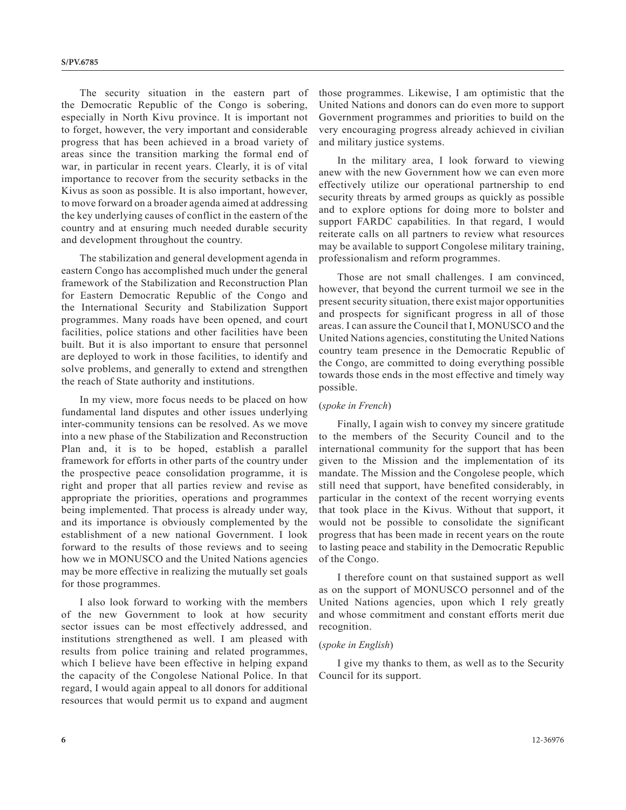The security situation in the eastern part of the Democratic Republic of the Congo is sobering, especially in North Kivu province. It is important not to forget, however, the very important and considerable progress that has been achieved in a broad variety of areas since the transition marking the formal end of war, in particular in recent years. Clearly, it is of vital importance to recover from the security setbacks in the Kivus as soon as possible. It is also important, however, to move forward on a broader agenda aimed at addressing the key underlying causes of conflict in the eastern of the country and at ensuring much needed durable security and development throughout the country.

The stabilization and general development agenda in eastern Congo has accomplished much under the general framework of the Stabilization and Reconstruction Plan for Eastern Democratic Republic of the Congo and the International Security and Stabilization Support programmes. Many roads have been opened, and court facilities, police stations and other facilities have been built. But it is also important to ensure that personnel are deployed to work in those facilities, to identify and solve problems, and generally to extend and strengthen the reach of State authority and institutions.

In my view, more focus needs to be placed on how fundamental land disputes and other issues underlying inter-community tensions can be resolved. As we move into a new phase of the Stabilization and Reconstruction Plan and, it is to be hoped, establish a parallel framework for efforts in other parts of the country under the prospective peace consolidation programme, it is right and proper that all parties review and revise as appropriate the priorities, operations and programmes being implemented. That process is already under way, and its importance is obviously complemented by the establishment of a new national Government. I look forward to the results of those reviews and to seeing how we in MONUSCO and the United Nations agencies may be more effective in realizing the mutually set goals for those programmes.

I also look forward to working with the members of the new Government to look at how security sector issues can be most effectively addressed, and institutions strengthened as well. I am pleased with results from police training and related programmes, which I believe have been effective in helping expand the capacity of the Congolese National Police. In that regard, I would again appeal to all donors for additional resources that would permit us to expand and augment those programmes. Likewise, I am optimistic that the United Nations and donors can do even more to support Government programmes and priorities to build on the very encouraging progress already achieved in civilian and military justice systems.

In the military area, I look forward to viewing anew with the new Government how we can even more effectively utilize our operational partnership to end security threats by armed groups as quickly as possible and to explore options for doing more to bolster and support FARDC capabilities. In that regard, I would reiterate calls on all partners to review what resources may be available to support Congolese military training, professionalism and reform programmes.

Those are not small challenges. I am convinced, however, that beyond the current turmoil we see in the present security situation, there exist major opportunities and prospects for significant progress in all of those areas. I can assure the Council that I, MONUSCO and the United Nations agencies, constituting the United Nations country team presence in the Democratic Republic of the Congo, are committed to doing everything possible towards those ends in the most effective and timely way possible.

### (*spoke in French*)

Finally, I again wish to convey my sincere gratitude to the members of the Security Council and to the international community for the support that has been given to the Mission and the implementation of its mandate. The Mission and the Congolese people, which still need that support, have benefited considerably, in particular in the context of the recent worrying events that took place in the Kivus. Without that support, it would not be possible to consolidate the significant progress that has been made in recent years on the route to lasting peace and stability in the Democratic Republic of the Congo.

I therefore count on that sustained support as well as on the support of MONUSCO personnel and of the United Nations agencies, upon which I rely greatly and whose commitment and constant efforts merit due recognition.

#### (*spoke in English*)

I give my thanks to them, as well as to the Security Council for its support.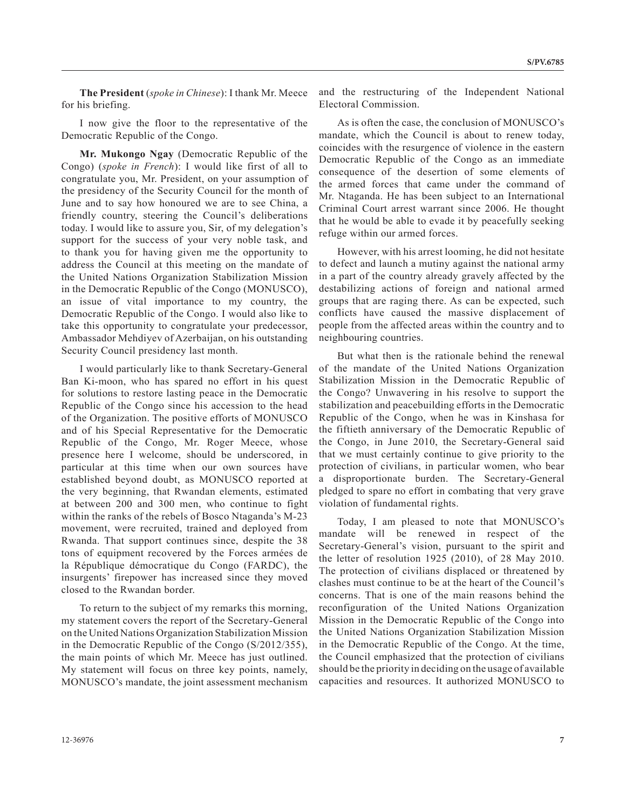**The President** (*spoke in Chinese*): I thank Mr. Meece for his briefing.

I now give the floor to the representative of the Democratic Republic of the Congo.

**Mr. Mukongo Ngay** (Democratic Republic of the Congo) (*spoke in French*): I would like first of all to congratulate you, Mr. President, on your assumption of the presidency of the Security Council for the month of June and to say how honoured we are to see China, a friendly country, steering the Council's deliberations today. I would like to assure you, Sir, of my delegation's support for the success of your very noble task, and to thank you for having given me the opportunity to address the Council at this meeting on the mandate of the United Nations Organization Stabilization Mission in the Democratic Republic of the Congo (MONUSCO), an issue of vital importance to my country, the Democratic Republic of the Congo. I would also like to take this opportunity to congratulate your predecessor, Ambassador Mehdiyev of Azerbaijan, on his outstanding Security Council presidency last month.

I would particularly like to thank Secretary-General Ban Ki-moon, who has spared no effort in his quest for solutions to restore lasting peace in the Democratic Republic of the Congo since his accession to the head of the Organization. The positive efforts of MONUSCO and of his Special Representative for the Democratic Republic of the Congo, Mr. Roger Meece, whose presence here I welcome, should be underscored, in particular at this time when our own sources have established beyond doubt, as MONUSCO reported at the very beginning, that Rwandan elements, estimated at between 200 and 300 men, who continue to fight within the ranks of the rebels of Bosco Ntaganda's M-23 movement, were recruited, trained and deployed from Rwanda. That support continues since, despite the 38 tons of equipment recovered by the Forces armées de la République démocratique du Congo (FARDC), the insurgents' firepower has increased since they moved closed to the Rwandan border.

To return to the subject of my remarks this morning, my statement covers the report of the Secretary-General on the United Nations Organization Stabilization Mission in the Democratic Republic of the Congo (S/2012/355), the main points of which Mr. Meece has just outlined. My statement will focus on three key points, namely, MONUSCO's mandate, the joint assessment mechanism

and the restructuring of the Independent National Electoral Commission.

As is often the case, the conclusion of MONUSCO's mandate, which the Council is about to renew today, coincides with the resurgence of violence in the eastern Democratic Republic of the Congo as an immediate consequence of the desertion of some elements of the armed forces that came under the command of Mr. Ntaganda. He has been subject to an International Criminal Court arrest warrant since 2006. He thought that he would be able to evade it by peacefully seeking refuge within our armed forces.

However, with his arrest looming, he did not hesitate to defect and launch a mutiny against the national army in a part of the country already gravely affected by the destabilizing actions of foreign and national armed groups that are raging there. As can be expected, such conflicts have caused the massive displacement of people from the affected areas within the country and to neighbouring countries.

But what then is the rationale behind the renewal of the mandate of the United Nations Organization Stabilization Mission in the Democratic Republic of the Congo? Unwavering in his resolve to support the stabilization and peacebuilding efforts in the Democratic Republic of the Congo, when he was in Kinshasa for the fiftieth anniversary of the Democratic Republic of the Congo, in June 2010, the Secretary-General said that we must certainly continue to give priority to the protection of civilians, in particular women, who bear a disproportionate burden. The Secretary-General pledged to spare no effort in combating that very grave violation of fundamental rights.

Today, I am pleased to note that MONUSCO's mandate will be renewed in respect of the Secretary-General's vision, pursuant to the spirit and the letter of resolution 1925 (2010), of 28 May 2010. The protection of civilians displaced or threatened by clashes must continue to be at the heart of the Council's concerns. That is one of the main reasons behind the reconfiguration of the United Nations Organization Mission in the Democratic Republic of the Congo into the United Nations Organization Stabilization Mission in the Democratic Republic of the Congo. At the time, the Council emphasized that the protection of civilians should be the priority in deciding on the usage of available capacities and resources. It authorized MONUSCO to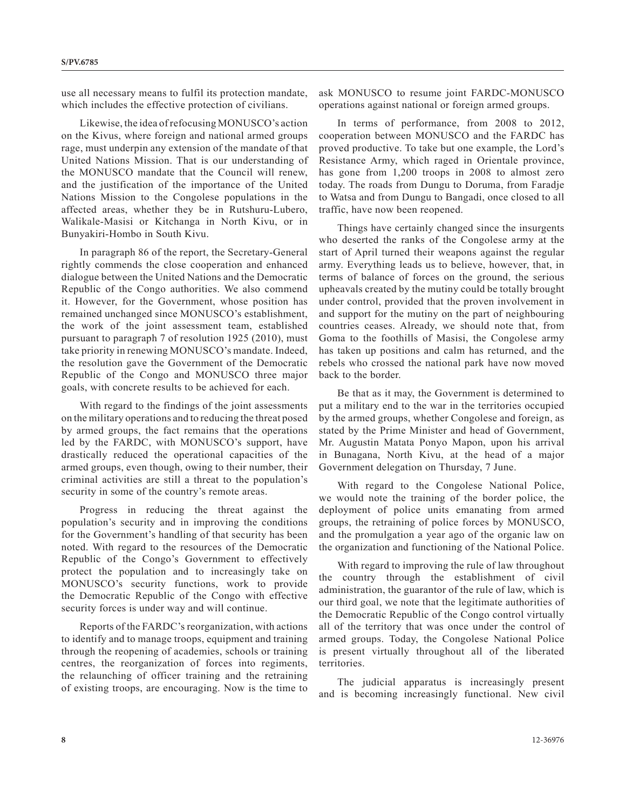use all necessary means to fulfil its protection mandate, which includes the effective protection of civilians.

Likewise, the idea of refocusing MONUSCO's action on the Kivus, where foreign and national armed groups rage, must underpin any extension of the mandate of that United Nations Mission. That is our understanding of the MONUSCO mandate that the Council will renew, and the justification of the importance of the United Nations Mission to the Congolese populations in the affected areas, whether they be in Rutshuru-Lubero, Walikale-Masisi or Kitchanga in North Kivu, or in Bunyakiri-Hombo in South Kivu.

In paragraph 86 of the report, the Secretary-General rightly commends the close cooperation and enhanced dialogue between the United Nations and the Democratic Republic of the Congo authorities. We also commend it. However, for the Government, whose position has remained unchanged since MONUSCO's establishment, the work of the joint assessment team, established pursuant to paragraph 7 of resolution 1925 (2010), must take priority in renewing MONUSCO's mandate. Indeed, the resolution gave the Government of the Democratic Republic of the Congo and MONUSCO three major goals, with concrete results to be achieved for each.

With regard to the findings of the joint assessments on the military operations and to reducing the threat posed by armed groups, the fact remains that the operations led by the FARDC, with MONUSCO's support, have drastically reduced the operational capacities of the armed groups, even though, owing to their number, their criminal activities are still a threat to the population's security in some of the country's remote areas.

Progress in reducing the threat against the population's security and in improving the conditions for the Government's handling of that security has been noted. With regard to the resources of the Democratic Republic of the Congo's Government to effectively protect the population and to increasingly take on MONUSCO's security functions, work to provide the Democratic Republic of the Congo with effective security forces is under way and will continue.

Reports of the FARDC's reorganization, with actions to identify and to manage troops, equipment and training through the reopening of academies, schools or training centres, the reorganization of forces into regiments, the relaunching of officer training and the retraining of existing troops, are encouraging. Now is the time to

ask MONUSCO to resume joint FARDC-MONUSCO operations against national or foreign armed groups.

In terms of performance, from 2008 to 2012, cooperation between MONUSCO and the FARDC has proved productive. To take but one example, the Lord's Resistance Army, which raged in Orientale province, has gone from 1,200 troops in 2008 to almost zero today. The roads from Dungu to Doruma, from Faradje to Watsa and from Dungu to Bangadi, once closed to all traffic, have now been reopened.

Things have certainly changed since the insurgents who deserted the ranks of the Congolese army at the start of April turned their weapons against the regular army. Everything leads us to believe, however, that, in terms of balance of forces on the ground, the serious upheavals created by the mutiny could be totally brought under control, provided that the proven involvement in and support for the mutiny on the part of neighbouring countries ceases. Already, we should note that, from Goma to the foothills of Masisi, the Congolese army has taken up positions and calm has returned, and the rebels who crossed the national park have now moved back to the border.

Be that as it may, the Government is determined to put a military end to the war in the territories occupied by the armed groups, whether Congolese and foreign, as stated by the Prime Minister and head of Government, Mr. Augustin Matata Ponyo Mapon, upon his arrival in Bunagana, North Kivu, at the head of a major Government delegation on Thursday, 7 June.

With regard to the Congolese National Police, we would note the training of the border police, the deployment of police units emanating from armed groups, the retraining of police forces by MONUSCO, and the promulgation a year ago of the organic law on the organization and functioning of the National Police.

With regard to improving the rule of law throughout the country through the establishment of civil administration, the guarantor of the rule of law, which is our third goal, we note that the legitimate authorities of the Democratic Republic of the Congo control virtually all of the territory that was once under the control of armed groups. Today, the Congolese National Police is present virtually throughout all of the liberated territories.

The judicial apparatus is increasingly present and is becoming increasingly functional. New civil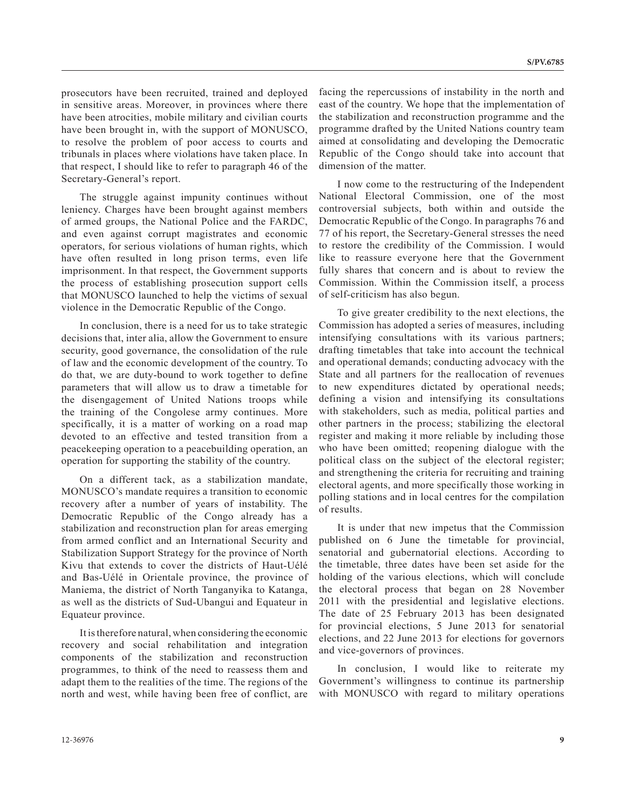prosecutors have been recruited, trained and deployed in sensitive areas. Moreover, in provinces where there have been atrocities, mobile military and civilian courts have been brought in, with the support of MONUSCO, to resolve the problem of poor access to courts and tribunals in places where violations have taken place. In that respect, I should like to refer to paragraph 46 of the Secretary-General's report.

The struggle against impunity continues without leniency. Charges have been brought against members of armed groups, the National Police and the FARDC, and even against corrupt magistrates and economic operators, for serious violations of human rights, which have often resulted in long prison terms, even life imprisonment. In that respect, the Government supports the process of establishing prosecution support cells that MONUSCO launched to help the victims of sexual violence in the Democratic Republic of the Congo.

In conclusion, there is a need for us to take strategic decisions that, inter alia, allow the Government to ensure security, good governance, the consolidation of the rule of law and the economic development of the country. To do that, we are duty-bound to work together to define parameters that will allow us to draw a timetable for the disengagement of United Nations troops while the training of the Congolese army continues. More specifically, it is a matter of working on a road map devoted to an effective and tested transition from a peacekeeping operation to a peacebuilding operation, an operation for supporting the stability of the country.

On a different tack, as a stabilization mandate, MONUSCO's mandate requires a transition to economic recovery after a number of years of instability. The Democratic Republic of the Congo already has a stabilization and reconstruction plan for areas emerging from armed conflict and an International Security and Stabilization Support Strategy for the province of North Kivu that extends to cover the districts of Haut-Uélé and Bas-Uélé in Orientale province, the province of Maniema, the district of North Tanganyika to Katanga, as well as the districts of Sud-Ubangui and Equateur in Equateur province.

It is therefore natural, when considering the economic recovery and social rehabilitation and integration components of the stabilization and reconstruction programmes, to think of the need to reassess them and adapt them to the realities of the time. The regions of the north and west, while having been free of conflict, are

east of the country. We hope that the implementation of the stabilization and reconstruction programme and the programme drafted by the United Nations country team aimed at consolidating and developing the Democratic Republic of the Congo should take into account that dimension of the matter. I now come to the restructuring of the Independent

National Electoral Commission, one of the most controversial subjects, both within and outside the Democratic Republic of the Congo. In paragraphs 76 and 77 of his report, the Secretary-General stresses the need to restore the credibility of the Commission. I would like to reassure everyone here that the Government fully shares that concern and is about to review the Commission. Within the Commission itself, a process of self-criticism has also begun.

facing the repercussions of instability in the north and

To give greater credibility to the next elections, the Commission has adopted a series of measures, including intensifying consultations with its various partners; drafting timetables that take into account the technical and operational demands; conducting advocacy with the State and all partners for the reallocation of revenues to new expenditures dictated by operational needs; defining a vision and intensifying its consultations with stakeholders, such as media, political parties and other partners in the process; stabilizing the electoral register and making it more reliable by including those who have been omitted; reopening dialogue with the political class on the subject of the electoral register; and strengthening the criteria for recruiting and training electoral agents, and more specifically those working in polling stations and in local centres for the compilation of results.

It is under that new impetus that the Commission published on 6 June the timetable for provincial, senatorial and gubernatorial elections. According to the timetable, three dates have been set aside for the holding of the various elections, which will conclude the electoral process that began on 28 November 2011 with the presidential and legislative elections. The date of 25 February 2013 has been designated for provincial elections, 5 June 2013 for senatorial elections, and 22 June 2013 for elections for governors and vice-governors of provinces.

In conclusion, I would like to reiterate my Government's willingness to continue its partnership with MONUSCO with regard to military operations